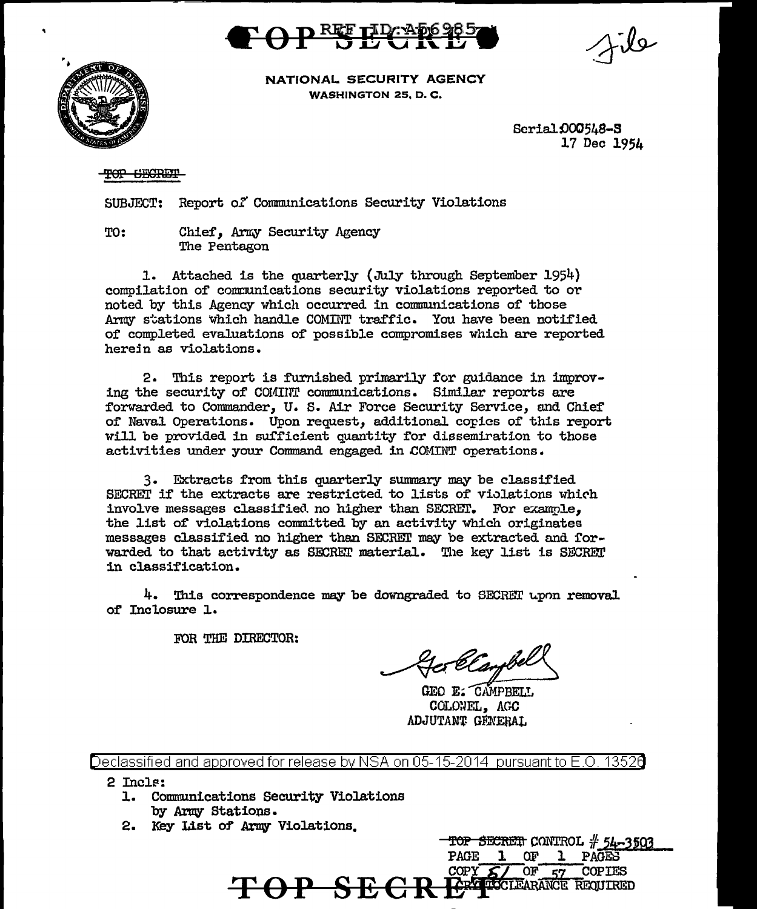**DREE LIDEAL** 

 $H^{\vee}$ 



NATIONAL SECURITY AGENCY **WASHINGTON 25, D. C.** 

> Serial 000548-S 17 Dec 1954

TOP SECRET

Report of Communications Security Violations SUBJECT:

TO: Chief, Army Security Agency The Pentagon

1. Attached is the quarterly (July through September 1954) compilation of communications security violations reported to or noted by this Agency which occurred in communications of those Army stations which handle COMINT traffic. You have been notified of completed evaluations of possible compromises which are reported herein as violations.

2. This report is furnished primarily for guidance in improving the security of COMINT communications. Similar reports are forwarded to Commander, U. S. Air Force Security Service, and Chief of Naval Operations. Upon request, additional cories of this report will be provided in sufficient quantity for dissemiration to those activities under your Command engaged in COMINT operations.

3. Extracts from this quarterly summary may be classified SECRET if the extracts are restricted to lists of violations which involve messages classified no higher than SECRET. For example. the list of violations committed by an activity which originates messages classified no higher than SECRET may be extracted and forwarded to that activity as SECRET material. The key list is SECRET in classification.

4. This correspondence may be downgraded to SECRET upon removal of Inclosure 1.

FOR THE DIRECTOR:

ter Clangber

GEO E: CAMPBELL COLONEL, AGC ADJUTANT GFNERAL

**PAGE** 

COPY<sup>-</sup>

TOP SECRET CONTROL # 54-3503

57

**PAGES** 

**COPIES** 

 $OF$ 

OF T

**CRY TOCLEARANCE REQUIRED** 

ı

Declassified and approved for release by NSA on 05-15-2014 Ibursuant to E.O. 13526

<del>TOP SECR</del>

2 Incls:

- 1. Communications Security Violations by Army Stations.
- 2. Key List of Army Violations.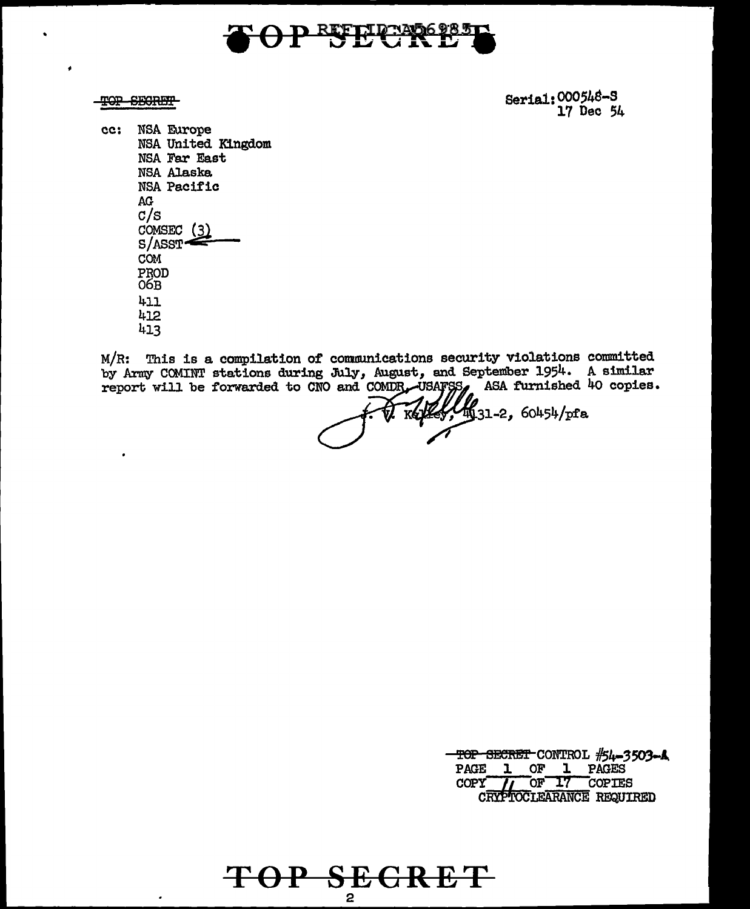

Serial: 000548-S  $17$  Dec  $54$ 

**NSA Europe**  $cc:$ NSA United Kingdom NSA Far East **NSA Alaska** NSA Pacific AG  $c/s$ COMSEC (3)  $S/ASST$ **COM** PROD  $O6B$ 411 412 413

M/R: This is a compilation of communications security violations committed by Army COMINT stations during July, August, and September 1954. A similar report will be forwarded to CNO and COMDR. USAFSS, ASA furnished 40 copies.

(1)<br>1931-2, 60454/pfa

TOP SECRET CONTROL #54-3503-A PAGE  $\mathbf{1}$ OF 1 PAGES COPY<sup>-</sup>  $OF-IT$ COPIES CRYPTOCLEARANCE REQUIRED

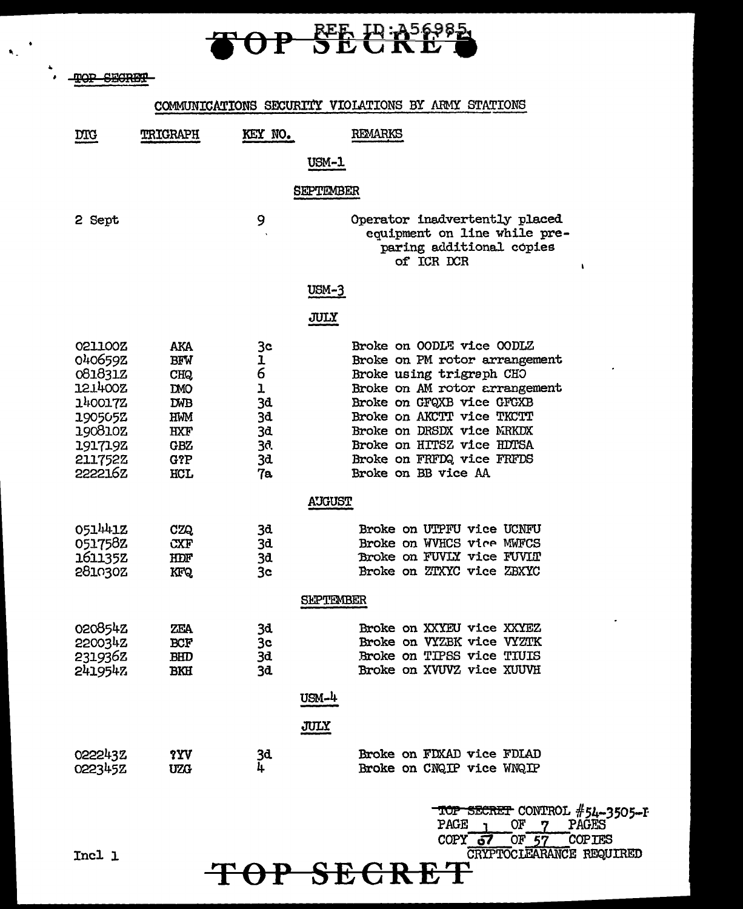

 $\mathbf{v}_1^{(1)}$ 

 $\bullet$ 

## COMMUNICATIONS SECURITY VIOLATIONS BY ARMY STATIONS

| <b>DIG</b>                                                                                                               | <b>TRIGRAPH</b>                                                                                 | KEY NO.                                                 | <b>REMARKS</b>                                                                                                                                                                                                                                                                                  |
|--------------------------------------------------------------------------------------------------------------------------|-------------------------------------------------------------------------------------------------|---------------------------------------------------------|-------------------------------------------------------------------------------------------------------------------------------------------------------------------------------------------------------------------------------------------------------------------------------------------------|
|                                                                                                                          |                                                                                                 | USM-1                                                   |                                                                                                                                                                                                                                                                                                 |
|                                                                                                                          |                                                                                                 | SEPTEMBER                                               |                                                                                                                                                                                                                                                                                                 |
| 2 Sept                                                                                                                   |                                                                                                 | 9                                                       | Operator inadvertently placed<br>equipment on line while pre-<br>paring additional copies<br>of ICR DCR<br>×.                                                                                                                                                                                   |
|                                                                                                                          |                                                                                                 | USM-3                                                   |                                                                                                                                                                                                                                                                                                 |
|                                                                                                                          |                                                                                                 | <b>JULY</b>                                             |                                                                                                                                                                                                                                                                                                 |
| <b>021100Z</b><br>040659Z<br>081831Z<br><b>121400Z</b><br>140017Z<br>1905052<br>190810Z<br>1917192<br>211752Z<br>2222162 | AKA<br>BFW<br>CHQ.<br><b>DMO</b><br><b>DWB</b><br><b>HWM</b><br>HXF<br><b>GBZ</b><br>G2P<br>HCL | 3c<br>ı<br>6<br>ı<br>3d.<br>3d<br>3d<br>3ð.<br>3d<br>7а | Broke on OODLE vice OODLZ<br>Broke on PM rotor arrangement<br>Broke using trigraph CHO<br>Broke on AM rotor arrangement<br>Broke on GFQXB vice GFGXB<br>Broke on AKCTT vice TKCTT<br>Broke on DRSDX vice MRKDX<br>Broke on HITSZ vice HDTSA<br>Broke on FRFDQ vice FRFDS<br>Broke on BB vice AA |
|                                                                                                                          |                                                                                                 | AUGUST                                                  |                                                                                                                                                                                                                                                                                                 |
| 051441Z<br>0517582<br>161135Z<br>2810302                                                                                 | CZQ<br>CXF<br>HDF<br>KFQ                                                                        | 3d<br>3d<br>3d<br>3 <sub>c</sub>                        | Broke on UTPFU vice UCNFU<br>Broke on WVHCS vice MWFCS<br>Broke on FUVLY vice FUVLT<br><b>Broke on ZTXYC vice ZBXYC</b>                                                                                                                                                                         |
|                                                                                                                          |                                                                                                 | SEPTEMBER                                               |                                                                                                                                                                                                                                                                                                 |
| 020854Z<br>2200342<br>2319362<br>2419542                                                                                 | ZEA<br>BCF<br>BHD<br>BKH                                                                        | 3d<br>3 <sub>c</sub><br>3d<br>3d                        | Broke on XXYEU vice XXYEZ<br>Broke on VYZBK vice VYZTK<br>Broke on TIPSS vice TIUIS<br>Broke on XVUVZ vice XUUVH                                                                                                                                                                                |
|                                                                                                                          |                                                                                                 | $USM-4$<br>JULY                                         |                                                                                                                                                                                                                                                                                                 |
| 0222432<br>0223452                                                                                                       | ?YV<br><b>UZG</b>                                                                               | 3d<br>4                                                 | Broke on FDXAD vice FDIAD<br>Broke on CNQIP vice WNQIP                                                                                                                                                                                                                                          |

Incl 1

# TOP SECRET

TOP SECRET CONTROL #54-3505-F<br>PAGE 1 OF 7 PAGES COPY 57 OF 57 COPIES<br>CRYPTOCLEARANCE REQUIRED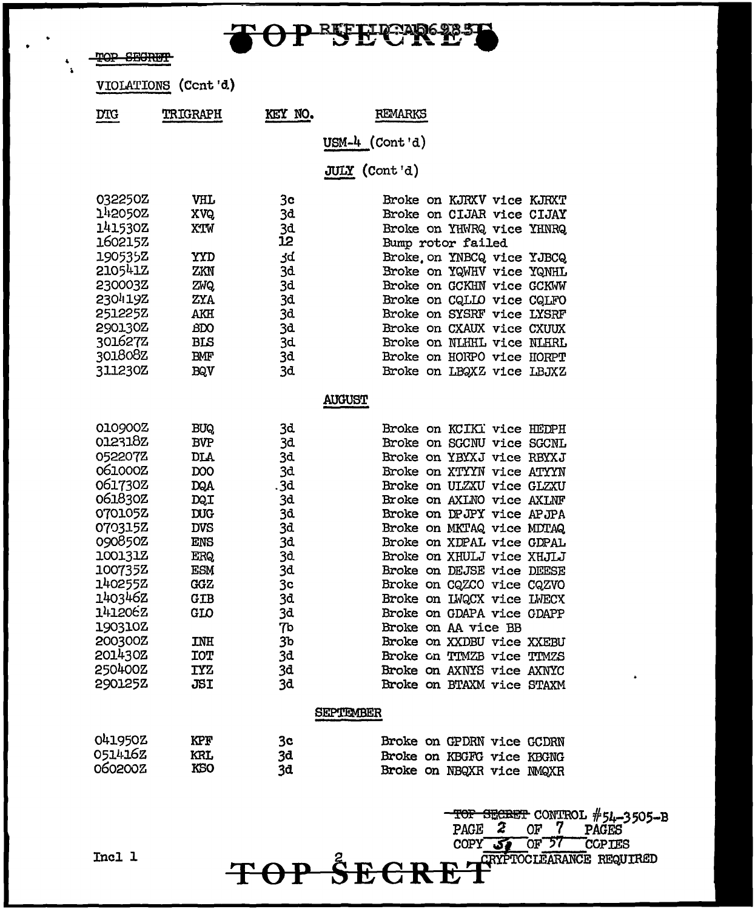**BEFLUGADE** 

TOP SECRET

VIOLATIONS (Cent 'd)

| <b>DIG</b> | TRIGRAPH | KEY NO. | <b>REMARKS</b> |
|------------|----------|---------|----------------|
|            |          |         | ________       |

 $USM-4$  (Cont'd)

JULY (Cont'd)

| 0322502        | VHL        | 3 <sub>c</sub> | Broke on KJRXV vice KJRXT |
|----------------|------------|----------------|---------------------------|
| <b>142050Z</b> | <b>XVQ</b> | 3đ             | Broke on CIJAR vice CIJAY |
| 141530Z        | XTW        | 3d             | Broke on YHWRQ vice YHNRQ |
| 160215Z        |            | 12             | Bump rotor failed         |
| 190535Z        | YYD        | રવ             | Broke on YNBCQ vice YJBCQ |
| 2105412        | ZKN        | 3d             | Broke on YQWHV vice YQNHL |
| 230003Z        | ZWQ.       | 3d             | Broke on GCKHN vice GCKWW |
| 2304192        | <b>ZYA</b> | 3d             | Broke on CQLIO vice CQLFO |
| 251225Z        | AKH        | 3d             | Broke on SYSRF vice LYSRF |
| 290130Z        | <b>BDO</b> | 3d             | Broke on CXAUX vice CXUUX |
| 301627Z        | <b>BLS</b> | 3d             | Broke on NLHHL vice NLHRL |
| 301808Z        | <b>BMF</b> | 3d             | Broke on HORPO vice HORPT |
| 311230Z        | <b>BQV</b> | 3d             | Broke on LBQXZ vice LBJXZ |
|                |            |                | <b>AUGUST</b>             |
| 010900Z        | <b>BUQ</b> | 3d             | Broke on KCIKI vice HEDPH |
| 012318Z        | <b>BVP</b> | 3d             | Broke on SGCNU vice SGCNL |
| 052207Z        | <b>DLA</b> | 3d             | Broke on YBYXJ vice RBYXJ |
| 061000Z        | DOO        | 3d             | Broke on XTYYN vice ATYYN |
| 061730Z        | DQA        | .3d            | Broke on ULZXU vice GLZXU |
| 061830Z        | DQI        | 3d             | Broke on AXLNO vice AXLNF |
| 070105Z        | <b>DUG</b> | 3d             | Broke on DPJPY vice APJPA |
| 0703152        | <b>DVS</b> | 3d             | Broke on MKTAQ vice MDTAQ |
| 090850Z        | <b>ENS</b> | 3d             | Broke on XDPAL vice GDPAL |
| 1001312        | <b>ERQ</b> | 3đ             | Broke on XHULJ vice XHJLJ |
| 1007352        | ESM        | 3d             | Broke on DEJSE vice DEESE |
| 140255Z        | GGZ        | 3 <sub>c</sub> | Broke on CQZCO vice CQZVO |
| 1403462        | GIB        | 3d             | Broke on IWQCX vice IWECX |
| 141206Z        | <b>GIO</b> | 3d             | Broke on GDAPA vice GDAPP |
| 190310Z        |            | Tb             | Broke on AA vice BB       |
| 200300Z        | <b>INH</b> | 3 <sub>b</sub> | Broke on XXDBU vice XXEBU |
| 2014302        | <b>TOT</b> | 3d             | Broke on TTMZB vice TTMZS |
| 250400Z        | <b>TYZ</b> | 3đ             | Broke on AXNYS vice AXNYC |
| 290125Z        | <b>JSI</b> | 3d             | Broke on BTAXM vice STAXM |
|                |            |                | <b>SEPTEMBER</b>          |
| 041950Z        | KPF        | 3c             | Broke on GPDRN vice GCDRN |
| 051416Z        | KRL        | 3d             | Broke on KBGFG vice KBGNG |
| 0602002        | KSO        | 3d             | Broke on NBQXR vice NMQXR |

TOP SECR

TOF SECRET CONTROL #54-3505-B<br>PAGE 2 OF 7 PAGES<br>COPY 50 OF 57 CCPIES

CRYPTOCLEARANCE REQUIRED

Incl 1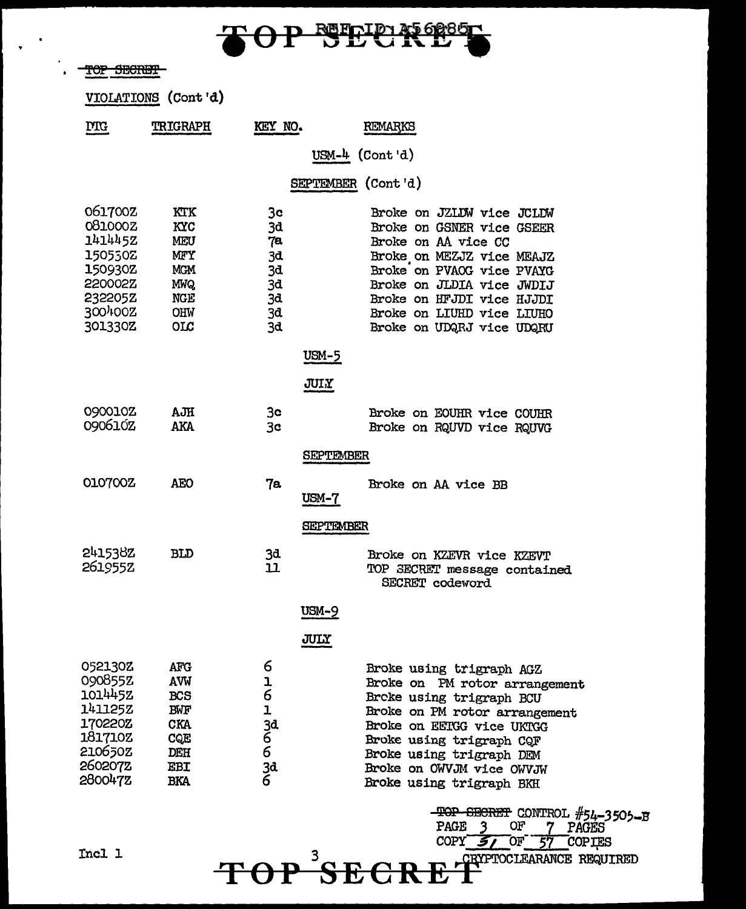

VIOLATIONS (Cont'd)

| <b>DIG</b>                                                                                      | <b>TRIGRAPH</b>                                                                         | KEY NO.                                            | REMARKS                                                                                                                                                                                                                                                              |
|-------------------------------------------------------------------------------------------------|-----------------------------------------------------------------------------------------|----------------------------------------------------|----------------------------------------------------------------------------------------------------------------------------------------------------------------------------------------------------------------------------------------------------------------------|
|                                                                                                 |                                                                                         |                                                    | $USM-4$ (Cont 'd)                                                                                                                                                                                                                                                    |
|                                                                                                 |                                                                                         |                                                    | SEPTEMBER (Cont 'd)                                                                                                                                                                                                                                                  |
| 061700Z<br>081000Z<br>1414452<br>150550Z<br>150930Z<br>220002Z<br>232205Z<br>300400Z<br>301330Z | KTK<br>KYC<br>MEU<br>MFY<br><b>MGM</b><br>MWQ.<br>NGE<br>OHW<br>OIC                     | 3c<br>3d<br>7а<br>3d<br>3đ<br>3d<br>3d<br>3d<br>3d | Broke on JZLDW vice JCLDW<br>Broke on GSNER vice GSEER<br>Broke on AA vice CC<br>Broke on MEZJZ vice MEAJZ<br>Broke on PVAOG vice PVAYG<br>Broke on JLDIA vice JWDIJ<br>Broke on HFJDI vice HJJDI<br>Broke on LIUHD vice LIUHO<br>Broke on UDQRJ vice UDQRU          |
|                                                                                                 |                                                                                         | USM-5                                              |                                                                                                                                                                                                                                                                      |
|                                                                                                 |                                                                                         | JUIY                                               |                                                                                                                                                                                                                                                                      |
| 090010Z<br>090610Z                                                                              | AJH<br>AKA                                                                              | Зc<br>3 <sub>c</sub>                               | Broke on EOUHR vice COUHR<br>Broke on RQUVD vice RQUVG                                                                                                                                                                                                               |
|                                                                                                 |                                                                                         | SEPTEMBER                                          |                                                                                                                                                                                                                                                                      |
| 010700Z                                                                                         | <b>AEO</b>                                                                              | 7а<br>$USM-7$                                      | Broke on AA vice BB                                                                                                                                                                                                                                                  |
|                                                                                                 |                                                                                         | <b>SEPTEMBER</b>                                   |                                                                                                                                                                                                                                                                      |
| 2415382<br>2619552                                                                              | <b>BLD</b>                                                                              | 3d<br>11                                           | Broke on KZEVR vice KZEVT<br>TOP SECRET message contained<br>SECRET codeword                                                                                                                                                                                         |
|                                                                                                 |                                                                                         | USM-9                                              |                                                                                                                                                                                                                                                                      |
|                                                                                                 |                                                                                         | <b>JULY</b>                                        |                                                                                                                                                                                                                                                                      |
| 052130Z<br>090855Z<br>101445Z<br>141125Z<br>1702202<br>181710Z<br>210650Z<br>260207Z<br>280047Z | AFG<br>avw<br><b>BCS</b><br><b>BWF</b><br><b>CKA</b><br>CQE<br>DEH<br>EBI<br><b>BKA</b> | 6<br>1<br>6<br>$13d$<br>$66d$<br>$3d$<br>$6$       | Broke using trigraph AGZ<br>Broke on PM rotor arrangement<br>Broke using trigraph BCU<br>Broke on PM rotor arrangement<br>Broke on EETGG vice UKTGG<br>Broke using trigraph CQF<br>Broke using trigraph DEM<br>Broke on OWVJM vice OWVJW<br>Broke using trigraph BKH |
| Incl 1                                                                                          |                                                                                         |                                                    | TOP SECRET CONTROL #54-3505-B<br>PAGE<br>OF<br>- 3<br>PAGES<br>$COPY - 57$<br>OF.<br><b>COPIES</b><br>CRYPTOCLEARANCE REQUIRED<br>SECR                                                                                                                               |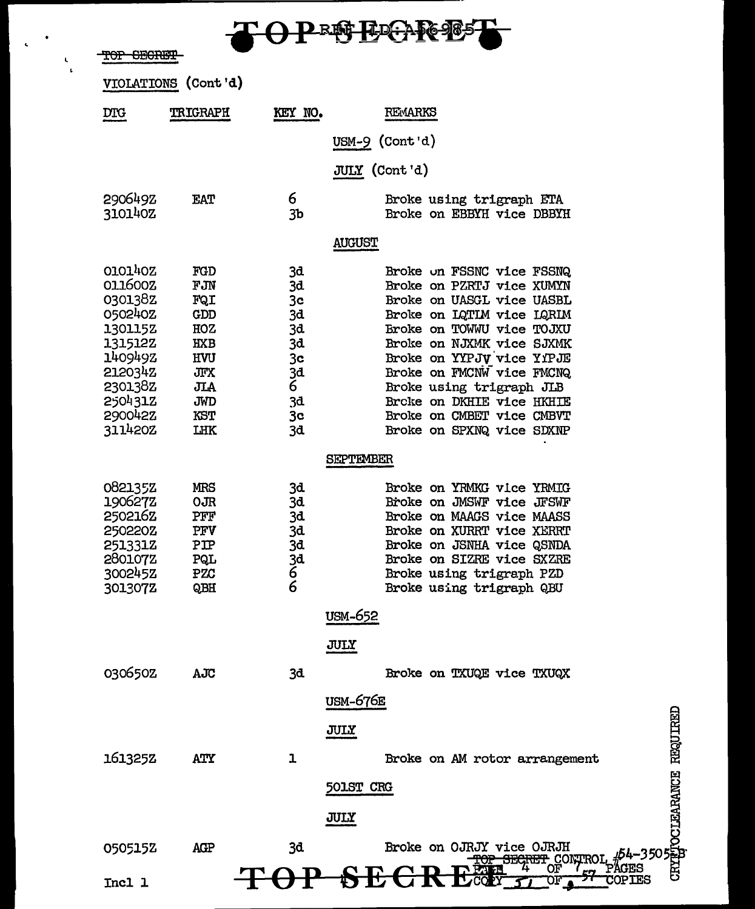

TOP CECRET

 $\mathbf{t}$  $\mathbf{r}$ 

VIOIATIONS (Cont'd)

| <b>DTG</b>         | TRIGRAPH          | KEY NO.        | <b>REMARKS</b>                                         |  |
|--------------------|-------------------|----------------|--------------------------------------------------------|--|
|                    |                   |                | USM-9 $(Cont 'd)$                                      |  |
|                    |                   |                | JULY (Cont'd)                                          |  |
|                    |                   | 6              |                                                        |  |
| 2906492<br>310140Z | EAT               | 3b             | Broke using trigraph ETA<br>Broke on EBBYH vice DBBYH  |  |
|                    |                   |                |                                                        |  |
|                    |                   |                | <b>AUGUST</b>                                          |  |
| 0101402            | FGD               | 3d             | Broke on FSSNC vice FSSNQ                              |  |
| 011600Z            | FJN               | 3d             | Broke on PZRTJ vice XUMYN                              |  |
| 030138Z<br>0502402 | FQI<br><b>GDD</b> | 3c             | Broke on UASGL vice UASBL<br>Broke on LQTIM vice LQRIM |  |
| 1301152            | HOZ               | 3d<br>3d       | Broke on TOWWU vice TOJXU                              |  |
| 131512Z            | HXB               | 3d             | Broke on NJXMK vice SJXMK                              |  |
| 1409492            | HVU               | 3c             | Broke on YYPJV vice YYPJE                              |  |
| 2120342            | JFX               | 3d             | Broke on FMCNW vice FMCNQ                              |  |
| 230138Z            | <b>JLA</b>        | 6.             | Broke using trigraph JLB                               |  |
| 2504312            | <b>JWD</b>        | 3đ             | Broke on DKHIE vice HKHIE                              |  |
| 290042Z            | KST               | 3c             | Broke on CMBET vice CMBVT                              |  |
| 311420Z            | <b>LHK</b>        | 3d             | Broke on SPXNQ vice SDXNP                              |  |
|                    |                   |                | <b>SEPTEMBER</b>                                       |  |
| 082135Z            | <b>MRS</b>        | 3d             | Broke on YRMKG vice YRMIG                              |  |
| 190627Z            | 0JR               | 3d             | Broke on JMSWF vice JFSWF                              |  |
| 2502162            | PFF               | 3d             | Broke on MAAGS vice MAASS                              |  |
| 2502202            | PFV               | 3d             | Broke on XURRT vice XERRT                              |  |
| 251331Z            | PIP               | 3d.            | Broke on JSNHA vice QSNDA                              |  |
| 280107Z<br>300245Z | PQL<br>PZC        | 3d             | Broke on SIZRE vice SXZRE<br>Broke using trigraph PZD  |  |
| 301307Z            | QBH               | $\bar{6}$<br>6 | Broke using trigraph QBU                               |  |
|                    |                   | USM-652        |                                                        |  |
|                    |                   |                |                                                        |  |
|                    |                   | <b>JULY</b>    |                                                        |  |
| 030650Z            | AJC               | 3d             | Broke on TXUQE vice TXUQX                              |  |
|                    |                   |                | <b>USM-676E</b>                                        |  |
|                    |                   | <b>JULY</b>    | CRYLOCIEARANCE REQUIRED                                |  |
| 161325Z            | <b>ATY</b>        | ı              | Broke on AM rotor arrangement                          |  |
|                    |                   |                |                                                        |  |
|                    |                   |                | 501ST CRG                                              |  |
|                    |                   | <u>JULY</u>    |                                                        |  |
|                    |                   |                |                                                        |  |
| 0505152            | <b>AGP</b>        | 3d             | Broke on OJRJY vice OJRJH<br><del>IET</del> CONTRO     |  |
| Incl 1             |                   |                |                                                        |  |
|                    |                   |                |                                                        |  |
|                    |                   |                |                                                        |  |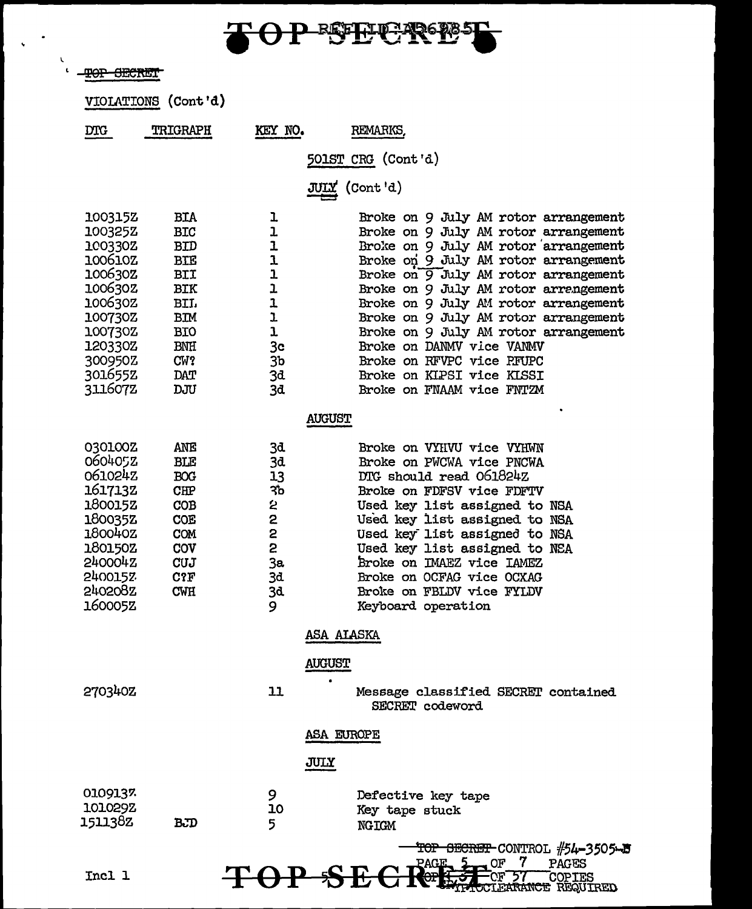

 $\ddot{\phantom{0}}$ 

 $\mathbf{t}$ 

VIOLATIONS (Cont'd)

| <b>DTG</b>                                                                                                                                  | <b>TRIGRAPH</b>                                                                                                                                  | KEY NO.                                                                                                        | <b>REMARKS</b>                                                                                                                                                                                                                                                                                                                                                                                                                                                                           |
|---------------------------------------------------------------------------------------------------------------------------------------------|--------------------------------------------------------------------------------------------------------------------------------------------------|----------------------------------------------------------------------------------------------------------------|------------------------------------------------------------------------------------------------------------------------------------------------------------------------------------------------------------------------------------------------------------------------------------------------------------------------------------------------------------------------------------------------------------------------------------------------------------------------------------------|
|                                                                                                                                             |                                                                                                                                                  |                                                                                                                | 501ST CRG (Cont'd)                                                                                                                                                                                                                                                                                                                                                                                                                                                                       |
|                                                                                                                                             |                                                                                                                                                  |                                                                                                                | JULY (Cont'd)                                                                                                                                                                                                                                                                                                                                                                                                                                                                            |
| 1003152<br>1003252<br>100330Z<br>100610Z<br>100630Z<br>100630Z<br>100630Z<br>100730Z<br>100730Z<br>120330Z<br>300950Z<br>301655Z<br>311607Z | <b>BIA</b><br><b>BIC</b><br><b>BID</b><br><b>BIE</b><br><b>BII</b><br><b>BIK</b><br>BII.<br>BIM<br><b>BIO</b><br><b>BNH</b><br>CW?<br>DAT<br>DJU | ı<br>1<br>$\mathbf{I}$<br>$\mathbf{I}$<br>1<br>$\mathbf{I}$<br>1<br>ı<br>1<br>3c<br>3 <sub>b</sub><br>3d<br>3d | Broke on 9 July AM rotor arrangement<br>Broke on 9 July AM rotor arrangement<br>Broke on 9 July AM rotor arrangement<br>Broke on 9 July AM rotor arrangement<br>Broke on 9 July AM rotor arrangement<br>Broke on 9 July AM rotor arrangement<br>Broke on 9 July AM rotor arrangement<br>Broke on 9 July AM rotor arrangement<br>Broke on 9 July AM rotor arrangement<br>Broke on DANMV vice VANMV<br>Broke on RFVPC vice RFUPC<br>Broke on KIPSI vice KISSI<br>Broke on FNAAM vice FNTZM |
|                                                                                                                                             |                                                                                                                                                  |                                                                                                                | <b>AUGUST</b>                                                                                                                                                                                                                                                                                                                                                                                                                                                                            |
| 030100Z<br>060405Z<br>0610242<br>1617132<br>1800152<br>180035Z<br>180040Z<br>1801502<br>240004Z<br>2400152<br>240208Z<br>160005Z            | ANE<br><b>BLE</b><br><b>BOG</b><br><b>CHP</b><br>COB<br>COE<br><b>COM</b><br>COV<br><b>CUJ</b><br>C2F<br><b>CWH</b>                              | 3d<br>3d<br>13<br>Зρ<br>2<br>2<br>2<br>2<br>3a<br>3d<br>3d<br>9                                                | Broke on VYHVU vice VYHWN<br>Broke on PWCWA vice PNCWA<br>DTG should read 061824Z<br>Broke on FDFSV vice FDFTV<br>Used key list assigned to NSA<br>Used key list assigned to NSA<br>Used key list assigned to NSA<br>Used key list assigned to NEA<br>Broke on IMAEZ vice IAMEZ<br>Broke on OCFAG vice OCXAG<br>Broke on FBLDV vice FYLDV<br>Keyboard operation                                                                                                                          |
|                                                                                                                                             |                                                                                                                                                  |                                                                                                                | ASA ALASKA                                                                                                                                                                                                                                                                                                                                                                                                                                                                               |
| 270340Z                                                                                                                                     |                                                                                                                                                  | 11                                                                                                             | <b>AUGUST</b><br>Message classified SECRET contained<br>SECRET codeword<br>ASA EUROPE                                                                                                                                                                                                                                                                                                                                                                                                    |
| 0109137<br>1010292<br>1511382                                                                                                               | BJD                                                                                                                                              | 9<br>10<br>5                                                                                                   | <u>JULY</u><br>Defective key tape<br>Key tape stuck<br>NGIGM                                                                                                                                                                                                                                                                                                                                                                                                                             |

**TOPSE** 

Incl 1

TOP SECRET CONTROL #54-3505-5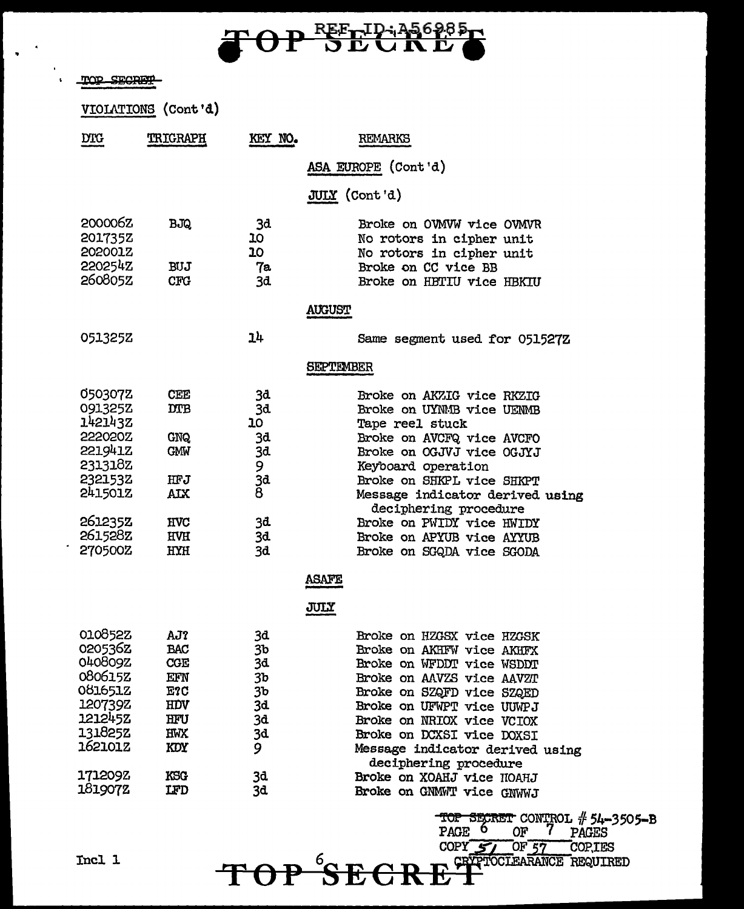

~ ~gH».f?

•

 $\mathbf{r}$  $\mathbf{t}$ 

VIOIATIONS (Cont'd)

| <b>DTC</b>                                                                                                            | TRIGRAPH                                                                                       | KEY NO.                                                       | REMARKS                                                                                                                                                                                                                                                                                                                                                                   |
|-----------------------------------------------------------------------------------------------------------------------|------------------------------------------------------------------------------------------------|---------------------------------------------------------------|---------------------------------------------------------------------------------------------------------------------------------------------------------------------------------------------------------------------------------------------------------------------------------------------------------------------------------------------------------------------------|
|                                                                                                                       |                                                                                                |                                                               | ASA EUROPE (Cont'd)                                                                                                                                                                                                                                                                                                                                                       |
|                                                                                                                       |                                                                                                |                                                               | JULY (Cont'd)                                                                                                                                                                                                                                                                                                                                                             |
| 2000062<br>201735Z<br><b>202001Z</b><br>220254Z<br>260805Z                                                            | BJQ<br><b>BUJ</b><br><b>CFG</b>                                                                | 3d<br>10<br>10<br>7a<br>3d                                    | Broke on OVMVW vice OVMVR<br>No rotors in cipher unit<br>No rotors in cipher unit<br>Broke on CC vice BB<br>Broke on HBTIU vice HBKIU                                                                                                                                                                                                                                     |
|                                                                                                                       |                                                                                                |                                                               | <b>AUGUST</b>                                                                                                                                                                                                                                                                                                                                                             |
| 051325Z                                                                                                               |                                                                                                | 14                                                            | Same segment used for 051527Z                                                                                                                                                                                                                                                                                                                                             |
|                                                                                                                       |                                                                                                |                                                               | <b>SEPTEMBER</b>                                                                                                                                                                                                                                                                                                                                                          |
| 0503072<br>0913252<br>1421432<br>222020Z                                                                              | <b>CEE</b><br><b>DTB</b><br><b>GNQ</b>                                                         | 3d<br>3d<br>10<br>3d                                          | Broke on AKZIG vice RKZIG<br>Broke on UYNMB vice UENMB<br>Tape reel stuck<br>Broke on AVCFQ vice AVCFO                                                                                                                                                                                                                                                                    |
| 2219412<br>2313182<br>2321532<br>2415012                                                                              | <b>GMW</b><br>HFJ<br><b>AIX</b>                                                                | 3d<br>9<br>3d<br>8                                            | Broke on OGJVJ vice OGJYJ<br>Keyboard operation<br>Broke on SHKPL vice SHKPT<br>Message indicator derived using<br>deciphering procedure                                                                                                                                                                                                                                  |
| 261235Z<br>261528Z<br>270500Z                                                                                         | <b>HVC</b><br><b>HVH</b><br>HYH                                                                | 3d<br>3d<br>3d                                                | Broke on PWIDY vice HWIDY<br>Broke on APYUB vice AYYUB<br>Broke on SGQDA vice SGODA                                                                                                                                                                                                                                                                                       |
|                                                                                                                       |                                                                                                |                                                               | <b>ASAFE</b>                                                                                                                                                                                                                                                                                                                                                              |
| 010852Z<br>0205362<br>040809Z<br>080615Z<br>081651Z<br>120739Z<br>1212452<br>1318252<br>1621012<br>1712092<br>1819072 | AJ?<br><b>BAC</b><br>CGE<br>EFN<br>E7C<br><b>HDV</b><br>HFU<br>HWX<br>KDY<br>KSG<br><b>LFD</b> | 3đ<br>3b<br>3d<br>3b<br>3b<br>3d<br>3d<br>3d<br>9<br>3d<br>3d | <u>JULY</u><br>Broke on HZGSX vice HZGSK<br>Broke on AKHFW vice AKHFX<br>Broke on WFDDT vice WSDDT<br>Broke on AAVZS vice AAVZT<br>Broke on SZQFD vice SZQED<br>Broke on UFWPT vice UUWPJ<br>Broke on NRIOX vice VCIOX<br>Broke on DCXSI vice DOXSI<br>Message indicator derived using<br>deciphering procedure<br>Broke on XOAHJ vice HOAHJ<br>Broke on GNMWT vice GNWWJ |
| Incl 1                                                                                                                |                                                                                                |                                                               | TOP SECRET CONTROL # 54-3505-B<br>O<br>7<br>OF<br>PAGE<br><b>PAGES</b><br>OF $\overline{57}$<br>$COPY$ $57$<br><b>COPTES</b><br>CRYPTOCLEARANCE REQUIRED<br>TOP <sup>5</sup> SECRE                                                                                                                                                                                        |

 $\ddot{\phantom{a}}$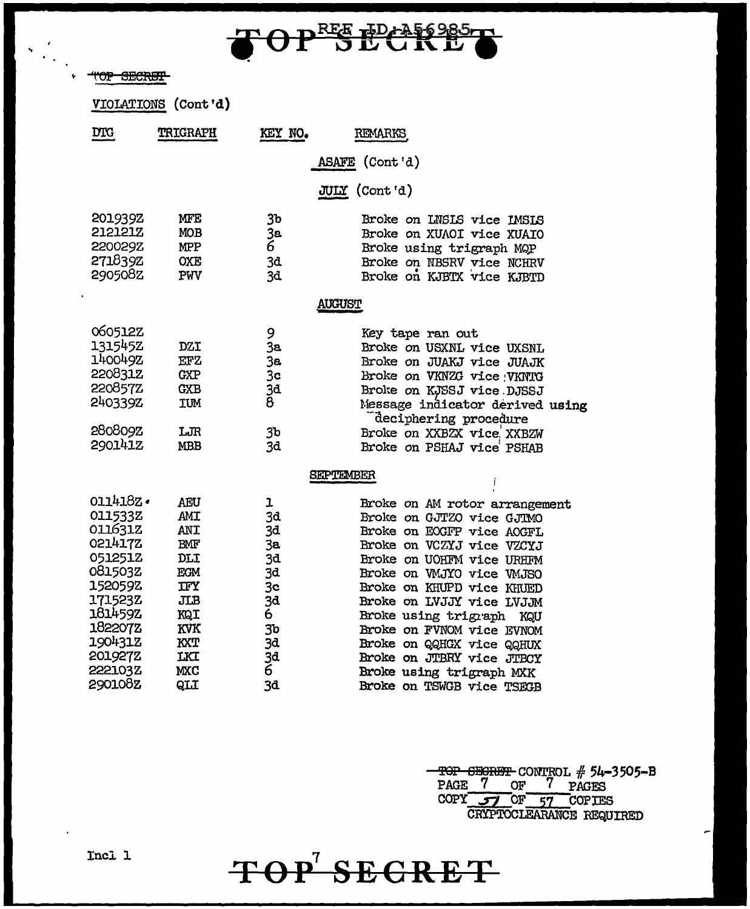

| TOP SECRET          |  |
|---------------------|--|
| VIOLATIONS (Cont'd) |  |

| <b>DIG</b>                                                                                                                                                     | TRIGRAPH                                                                                                                                 | KEY NO.                                                                                   | REMARKS                                                                                                                                                                                                                                                                                                                                                                                                                 |
|----------------------------------------------------------------------------------------------------------------------------------------------------------------|------------------------------------------------------------------------------------------------------------------------------------------|-------------------------------------------------------------------------------------------|-------------------------------------------------------------------------------------------------------------------------------------------------------------------------------------------------------------------------------------------------------------------------------------------------------------------------------------------------------------------------------------------------------------------------|
|                                                                                                                                                                |                                                                                                                                          |                                                                                           | ASAFE (Cont'd)                                                                                                                                                                                                                                                                                                                                                                                                          |
|                                                                                                                                                                |                                                                                                                                          |                                                                                           | JULY (Cont'd)                                                                                                                                                                                                                                                                                                                                                                                                           |
| 201939Z<br>212121Z<br><b>220029Z</b><br>271839Z<br>2905082                                                                                                     | MFE<br><b>MOB</b><br><b>MPP</b><br>OXE<br>PWV                                                                                            | 3b<br>3a<br>6.<br>3d<br>3d                                                                | Broke on LNSLS vice IMSLS<br>Broke on XUAOI vice XUAIO<br>Broke using trigraph MQP<br>Broke on NBSRV vice NCHRV<br>Broke on KJBTX vice KJBTD                                                                                                                                                                                                                                                                            |
|                                                                                                                                                                |                                                                                                                                          |                                                                                           | <b>AUGUST</b>                                                                                                                                                                                                                                                                                                                                                                                                           |
| 060512Z<br>1315452<br>140049Z<br>2208312<br>220857Z<br>240339Z<br>280809Z<br>2901412                                                                           | <b>DZI</b><br><b>EFZ</b><br><b>GXP</b><br><b>GXB</b><br>IUM<br>LJR<br><b>MBB</b>                                                         | 9<br>3a<br>3a<br>3 <sub>c</sub><br>3d<br>8<br>3b<br>3d                                    | Key tape ran out<br>Broke on USXNL vice UXSNL<br>Broke on JUAKJ vice JUAJK<br>Broke on VKNZG vice VKNTG<br>Broke on KJSSJ vice DJSSJ<br>Message indicator derived using<br>deciphering procedure<br>Broke on XXBZX vice XXBZW<br>Broke on PSHAJ vice PSHAB                                                                                                                                                              |
|                                                                                                                                                                |                                                                                                                                          |                                                                                           | SEPTEMBER<br>j                                                                                                                                                                                                                                                                                                                                                                                                          |
| 011418Z.<br>0115332<br>011631Z<br>021417Z<br>051251Z<br>081503Z<br>152059Z<br>171523Z<br>1814592<br>1822072<br>190431Z<br>201927Z<br>2221032<br><b>290108Z</b> | AEU<br>AMI<br>ANI<br><b>BMF</b><br>DLI<br><b>EGM</b><br><b>IFY</b><br><b>JLB</b><br>KQI<br><b>KVK</b><br>KXT<br>IKI<br><b>MXC</b><br>QLI | ı<br>3d<br>3d<br>3a<br>3d<br>3d<br>3c<br>3d<br>6<br>3 <sub>b</sub><br>3d<br>3đ<br>6<br>3d | Broke on AM rotor arrangement<br>Broke on GJTZO vice GJIMO<br>Broke on EOGFP vice AOGFL<br>Broke on VCZYJ vice VZCYJ<br>Broke on UOHFM vice URHFM<br>Broke on VMJYO vice VMJSO<br>Broke on KHUPD vice KHUED<br>Broke on LVJJY vice LVJJM<br>Broke using trigraph<br>KQU<br>Broke on FVNOM vice EVNOM<br>Broke on QQHGX vice QQHUX<br>Broke on JTBRY vice JTBCY<br>Broke using trigraph MXK<br>Broke on TSWGB vice TSEGB |

TOP SEGRET CONTROL # 54-3505-B<br>PAGE 7 OF 7 PAGES COPY OF 57 COPIES CRYPTOCLEARANCE REQUIRED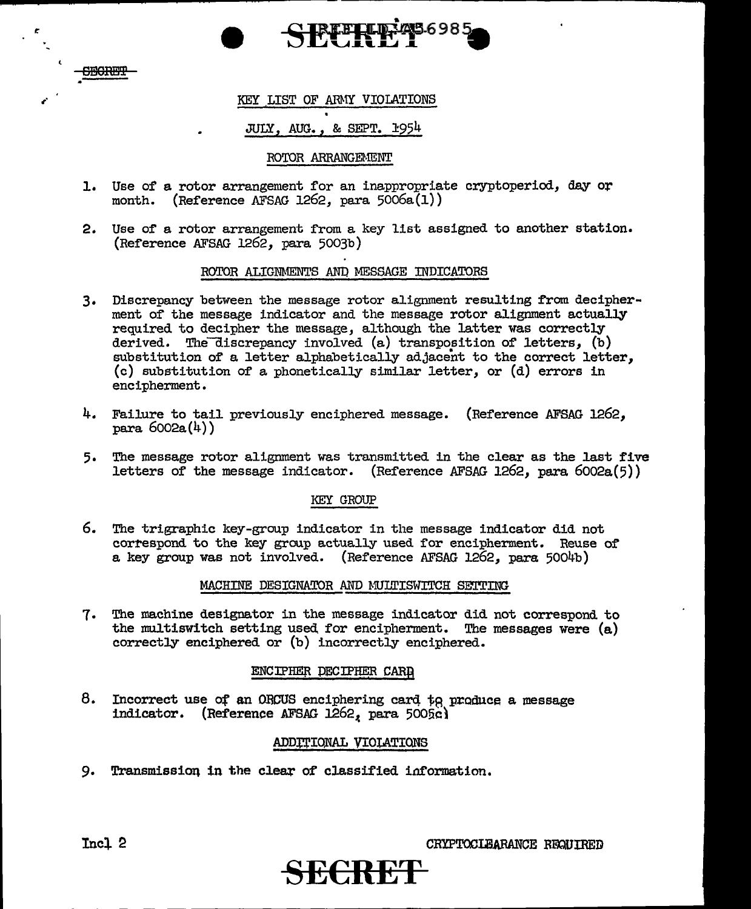

#### KEY LIST OF ARMY VIOLATIONS

### JULY, AUG., & SEPT. 1954

#### ROTOR ARRANGEMENT

- 1. Use of a rotor arrangement for an inappropriate cryptoperiod, day or month. (Reference AFSAG 1262, para 5006a(1))
- 2. Use of a. rotor arrangement from a key list assigned to another station.  $(Reference AFSAG 1262, para 5003b)$

#### ROTOR ALIGNMENTS AND MESSAGE INDICATORS

- 3. Discrepancy between the message rotor alignment resulting from decipherment of' the message indicator and the message rotor alignment actually required to decipher the message, although the latter was correctly derived. The discrepancy involved (a) transposition of letters,  $(b)$ substitution of a letter alphabetically adjacent to the correct letter, {c} substitution of a phonetically similar letter, or (d) errors in encipherment.
- 4. Failure to tail previously enciphered message. (Reference AFSAG 1262, para 6002a(4))
- 5. The message rotor alignment was transmitted in the clear as the last five letters of the message indicator. (Reference AFSAG 1262, para 6002a(5))

#### KEY GROUP

6. The trigraphic key-group indicator in the message indicator did not correspond to the key group actually used for encipherment. Reuse of a key group was not involved. (Reference AFSAG 1262, para 5004b)

#### MACHINE DESIGNATOR AND MULTISWITCH SETTING

7. The machine designator in the message indicator did not correspond to the multiswitch setting used for encipherment. The messages were  $(a)$ correctly enciphered or (b) incorrectly enciphered.

#### ENCIPHER DECIPHER CARD

8. Incorrect use of an ORCUS enciphering card  $tp$  produce a message indicator. (Reference AFSAG 1262, para 500 $5c$ )

#### ADDITIONAL VIOLATIONS

9. Transmission in the clear of classified information.

Incl 2 CRYPTOCLEARANCE REQUIRED